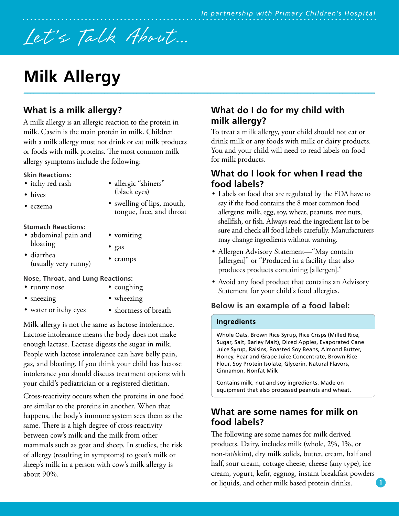# Let's Talk About...

## **Milk Allergy**

## **What is a milk allergy?**

A milk allergy is an allergic reaction to the protein in milk. Casein is the main protein in milk. Children with a milk allergy must not drink or eat milk products or foods with milk proteins. The most common milk allergy symptoms include the following:

#### **Skin Reactions:**

- itchy red rash
- hives
- eczema
- allergic "shiners" (black eyes)
- swelling of lips, mouth, tongue, face, and throat

#### **Stomach Reactions:**

- abdominal pain and bloating
- diarrhea (usually very runny)

### **Nose, Throat, and Lung Reactions:**

- runny nose
- sneezing
- coughing • wheezing

• vomiting

• gas • cramps

- water or itchy eyes
- shortness of breath

Milk allergy is not the same as lactose intolerance. Lactose intolerance means the body does not make enough lactase. Lactase digests the sugar in milk. People with lactose intolerance can have belly pain, gas, and bloating. If you think your child has lactose intolerance you should discuss treatment options with your child's pediatrician or a registered dietitian.

Cross-reactivity occurs when the proteins in one food are similar to the proteins in another. When that happens, the body's immune system sees them as the same. There is a high degree of cross-reactivity between cow's milk and the milk from other mammals such as goat and sheep. In studies, the risk of allergy (resulting in symptoms) to goat's milk or sheep's milk in a person with cow's milk allergy is about 90%.

## **What do I do for my child with milk allergy?**

To treat a milk allergy, your child should not eat or drink milk or any foods with milk or dairy products. You and your child will need to read labels on food for milk products.

## **What do I look for when I read the food labels?**

- Labels on food that are regulated by the FDA have to say if the food contains the 8 most common food allergens: milk, egg, soy, wheat, peanuts, tree nuts, shellfish, or fish. Always read the ingredient list to be sure and check all food labels carefully. Manufacturers may change ingredients without warning.
- Allergen Advisory Statement—"May contain [allergen]" or "Produced in a facility that also produces products containing [allergen]."
- Avoid any food product that contains an Advisory Statement for your child's food allergies.

### **Below is an example of a food label:**

#### **Ingredients**

Whole Oats, Brown Rice Syrup, Rice Crisps (Milled Rice, Sugar, Salt, Barley Malt), Diced Apples, Evaporated Cane Juice Syrup, Raisins, Roasted Soy Beans, Almond Butter, Honey, Pear and Grape Juice Concentrate, Brown Rice Flour, Soy Protein Isolate, Glycerin, Natural Flavors, Cinnamon, Nonfat Milk

Contains milk, nut and soy ingredients. Made on equipment that also processed peanuts and wheat.

## **What are some names for milk on food labels?**

The following are some names for milk derived products. Dairy, includes milk (whole, 2%, 1%, or non-fat/skim), dry milk solids, butter, cream, half and half, sour cream, cottage cheese, cheese (any type), ice cream, yogurt, kefir, eggnog, instant breakfast powders or liquids, and other milk based protein drinks.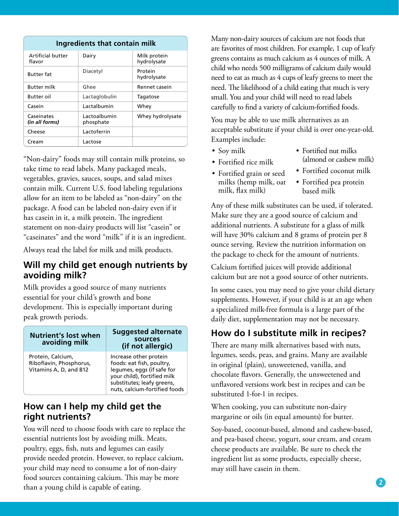| Ingredients that contain milk |                           |                             |  |  |  |
|-------------------------------|---------------------------|-----------------------------|--|--|--|
| Artificial butter<br>flavor   | Dairy                     | Milk protein<br>hydrolysate |  |  |  |
| <b>Butter fat</b>             | Diacetyl                  | Protein<br>hydrolysate      |  |  |  |
| <b>Butter milk</b>            | Ghee                      | Rennet casein               |  |  |  |
| <b>Butter oil</b>             | Lactaglobulin             | Tagatose                    |  |  |  |
| Casein                        | Lactalbumin               | Whey                        |  |  |  |
| Caseinates<br>(in all forms)  | Lactoalbumin<br>phosphate | Whey hydrolysate            |  |  |  |
| Cheese                        | Lactoferrin               |                             |  |  |  |
| Cream                         | Lactose                   |                             |  |  |  |

"Non-dairy" foods may still contain milk proteins, so take time to read labels. Many packaged meals, vegetables, gravies, sauces, soups, and salad mixes contain milk. Current U.S. food labeling regulations allow for an item to be labeled as "non-dairy" on the package. A food can be labeled non-dairy even if it has casein in it, a milk protein. The ingredient statement on non-dairy products will list "casein" or "caseinates" and the word "milk" if it is an ingredient.

Always read the label for milk and milk products.

### **Will my child get enough nutrients by avoiding milk?**

Milk provides a good source of many nutrients essential for your child's growth and bone development. This is especially important during peak growth periods.

| <b>Nutrient's lost when</b><br>avoiding milk                           | <b>Suggested alternate</b><br>sources<br>(if not allergic)                                                                                                                      |
|------------------------------------------------------------------------|---------------------------------------------------------------------------------------------------------------------------------------------------------------------------------|
| Protein, Calcium,<br>Riboflavin, Phosphorus,<br>Vitamins A, D, and B12 | Increase other protein<br>foods: eat fish, poultry,<br>legumes, eggs (if safe for<br>your child), fortified milk<br>substitutes; leafy greens,<br>nuts, calcium-fortified foods |

## **How can I help my child get the right nutrients?**

You will need to choose foods with care to replace the essential nutrients lost by avoiding milk. Meats, poultry, eggs, fish, nuts and legumes can easily provide needed protein. However, to replace calcium, your child may need to consume a lot of non-dairy food sources containing calcium. This may be more than a young child is capable of eating.

Many non-dairy sources of calcium are not foods that are favorites of most children. For example, 1 cup of leafy greens contains as much calcium as 4 ounces of milk. A child who needs 500 milligrams of calcium daily would need to eat as much as 4 cups of leafy greens to meet the need. The likelihood of a child eating that much is very small. You and your child will need to read labels carefully to find a variety of calcium-fortified foods.

You may be able to use milk alternatives as an acceptable substitute if your child is over one-year-old. Examples include:

- Soy milk
- Fortified rice milk
- Fortified grain or seed milks (hemp milk, oat milk, flax milk)
- Fortified nut milks (almond or cashew milk)
- Fortified coconut milk
- Fortified pea protein based milk

Any of these milk substitutes can be used, if tolerated. Make sure they are a good source of calcium and additional nutrients. A substitute for a glass of milk will have 30% calcium and 8 grams of protein per 8 ounce serving. Review the nutrition information on the package to check for the amount of nutrients.

Calcium fortified juices will provide additional calcium but are not a good source of other nutrients.

In some cases, you may need to give your child dietary supplements. However, if your child is at an age when a specialized milk-free formula is a large part of the daily diet, supplementation may not be necessary.

## **How do I substitute milk in recipes?**

There are many milk alternatives based with nuts, legumes, seeds, peas, and grains. Many are available in original (plain), unsweetened, vanilla, and chocolate flavors. Generally, the unsweetened and unflavored versions work best in recipes and can be substituted 1-for-1 in recipes.

When cooking, you can substitute non-dairy margarine or oils (in equal amounts) for butter.

Soy-based, coconut-based, almond and cashew-based, and pea-based cheese, yogurt, sour cream, and cream cheese products are available. Be sure to check the ingredient list as some products, especially cheese, may still have casein in them.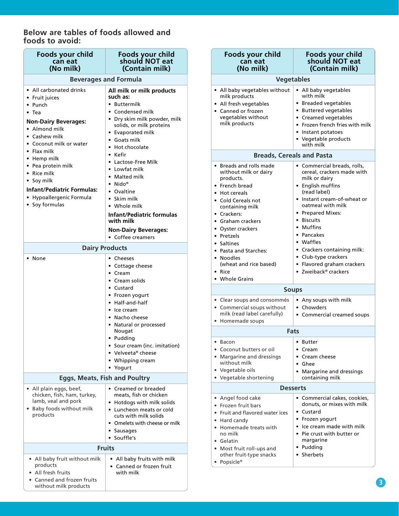#### **Below are tables of foods allowed and foods to avoid:**

| Foods your child<br>can eat<br>(No milk)                                                                                                                          | Foods your child<br>should NOT eat<br>(Contain milk)                                                                                                                                                                               | Foods your child<br>can eat<br>(No milk)                                                                                                                                                                         | Foods your child<br>should NOT eat<br>(Contain milk)                                                                                                                                                                              |  |
|-------------------------------------------------------------------------------------------------------------------------------------------------------------------|------------------------------------------------------------------------------------------------------------------------------------------------------------------------------------------------------------------------------------|------------------------------------------------------------------------------------------------------------------------------------------------------------------------------------------------------------------|-----------------------------------------------------------------------------------------------------------------------------------------------------------------------------------------------------------------------------------|--|
| <b>Beverages and Formula</b>                                                                                                                                      |                                                                                                                                                                                                                                    | <b>Vegetables</b>                                                                                                                                                                                                |                                                                                                                                                                                                                                   |  |
| • All carbonated drinks<br>• Fruit juices<br>• Punch<br>$\bullet$ Tea<br><b>Non-Dairy Beverages:</b><br>• Almond milk<br>• Cashew milk<br>• Coconut milk or water | All milk or milk products<br>such as:<br>• Buttermilk<br>• Condensed milk<br>• Dry skim milk powder, milk<br>solids, or milk proteins<br>• Evaporated milk<br>• Goats milk                                                         | • All baby vegetables without<br>milk products<br>• All fresh vegetables<br>• Canned or frozen<br>vegetables without<br>milk products                                                                            | • All baby vegetables<br>with milk<br>• Breaded vegetables<br>• Buttered vegetables<br>• Creamed vegetables<br>• Frozen french fries with milk<br>• Instant potatoes<br>• Vegetable products<br>with milk                         |  |
| $\bullet$ Flax milk                                                                                                                                               | • Hot chocolate<br>$\bullet$ Kefir                                                                                                                                                                                                 |                                                                                                                                                                                                                  | <b>Breads, Cereals and Pasta</b>                                                                                                                                                                                                  |  |
| • Hemp milk<br>• Pea protein milk<br>• Rice milk<br>• Soy milk<br><b>Infant/Pediatric Formulas:</b><br>• Hypoallergenic Formula<br>• Soy formulas                 | • Lactose-Free Milk<br>• Lowfat milk<br>• Malted milk<br>$\bullet$ Nido®<br>• Ovaltine<br>$\bullet$ Skim milk<br>• Whole milk<br><b>Infant/Pediatric formulas</b><br>with milk<br><b>Non-Dairy Beverages:</b><br>• Coffee creamers | • Breads and rolls made<br>without milk or dairy<br>products.<br>• French bread<br>• Hot cereals<br>• Cold Cereals not<br>containing milk<br>• Crackers:<br>• Graham crackers<br>• Oyster crackers<br>• Pretzels | • Commercial breads, rolls,<br>cereal, crackers made with<br>milk or dairy<br>• English muffins<br>(read label)<br>• Instant cream-of-wheat or<br>oatmeal with milk<br>• Prepared Mixes:<br>• Biscuits<br>• Muffins<br>• Pancakes |  |
| <b>Dairy Products</b>                                                                                                                                             |                                                                                                                                                                                                                                    | • Saltines                                                                                                                                                                                                       | • Waffles                                                                                                                                                                                                                         |  |
| • None                                                                                                                                                            | • Cheeses<br>• Cottage cheese<br>• Cream<br>• Cream solids                                                                                                                                                                         | • Pasta and Starches:<br>• Noodles<br>(wheat and rice based)<br>• Rice<br>• Whole Grains                                                                                                                         | • Crackers containing milk:<br>• Club-type crackers<br>• Flavored graham crackers<br>• Zweiback® crackers                                                                                                                         |  |
| • Custard<br>• Frozen yogurt                                                                                                                                      |                                                                                                                                                                                                                                    | <b>Soups</b>                                                                                                                                                                                                     |                                                                                                                                                                                                                                   |  |
|                                                                                                                                                                   | • Half-and-half<br>• Ice cream<br>• Nacho cheese<br>• Natural or processed                                                                                                                                                         | • Clear soups and consommés<br>• Commercial soups without<br>milk (read label carefully)<br>• Homemade soups                                                                                                     | • Any soups with milk<br>• Chowders<br>• Commercial creamed soups                                                                                                                                                                 |  |
| Nougat                                                                                                                                                            |                                                                                                                                                                                                                                    | <b>Fats</b>                                                                                                                                                                                                      |                                                                                                                                                                                                                                   |  |
| <b>Eggs, Meats, Fish and Poultry</b>                                                                                                                              | • Pudding<br>• Sour cream (inc. imitation)<br>• Velveeta® cheese<br>• Whipping cream<br>• Yogurt                                                                                                                                   | $\bullet$ Bacon<br>• Coconut butters or oil<br>• Margarine and dressings<br>without milk<br>• Vegetable oils<br>• Vegetable shortening                                                                           | • Butter<br>• Cream<br>• Cream cheese<br>$\bullet$ Ghee<br>• Margarine and dressings<br>containing milk                                                                                                                           |  |
| • All plain eggs, beef,                                                                                                                                           | • Creamed or breaded                                                                                                                                                                                                               | <b>Desserts</b>                                                                                                                                                                                                  |                                                                                                                                                                                                                                   |  |
| chicken, fish, ham, turkey,<br>lamb, veal and pork<br>• Baby foods without milk<br>products                                                                       | meats, fish or chicken<br>• Hotdogs with milk solids<br>• Luncheon meats or cold<br>cuts with milk solids<br>• Omelets with cheese or milk<br>• Sausages<br>• Souffle's                                                            | • Angel food cake<br>• Frozen fruit bars<br>• Fruit and flavored water ices<br>• Hard candy<br>• Homemade treats with<br>no milk<br>• Gelatin                                                                    | • Commercial cakes, cookies,<br>donuts, or mixes with milk<br>• Custard<br>• Frozen yogurt<br>• Ice cream made with milk<br>• Pie crust with butter or<br>margarine                                                               |  |
| <b>Fruits</b>                                                                                                                                                     |                                                                                                                                                                                                                                    | • Most fruit roll-ups and                                                                                                                                                                                        | • Pudding                                                                                                                                                                                                                         |  |
| • All baby fruit without milk<br>products<br>• All fresh fruits<br>• Canned and frozen fruits<br>without milk products                                            | • All baby fruits with milk<br>• Canned or frozen fruit<br>with milk                                                                                                                                                               | other fruit-type snacks<br>• Popsicle®                                                                                                                                                                           | • Sherbets                                                                                                                                                                                                                        |  |